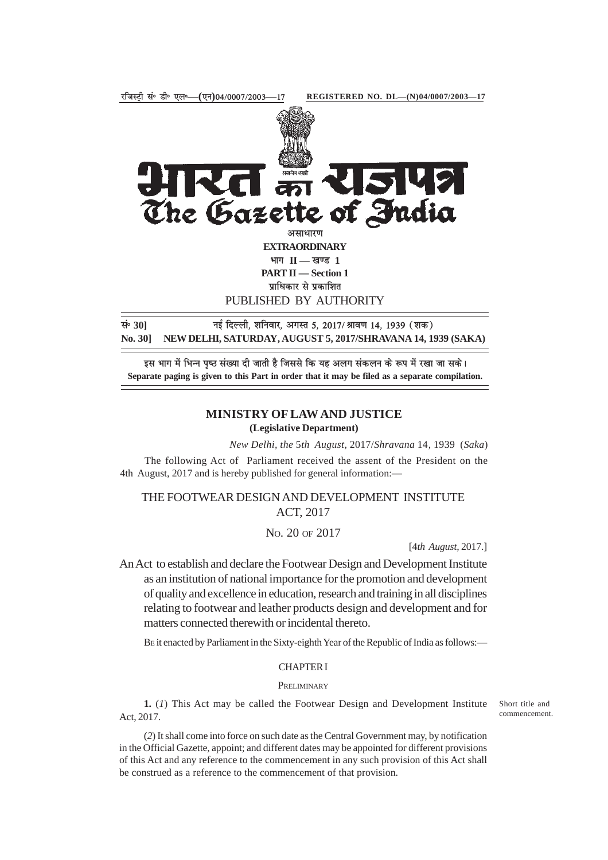

**EXTRAORDINARY** भाग II — खण्ड 1 **PART II — Section 1** प्राधिकार से प्रकाशित PUBLISHED BY AUTHORITY

सं॰ 30] बई दिल्ली, शनिवार, अगस्त 5, 2017/ श्रावण 14, 1939 (शक) **No. 30] NEW DELHI, SATURDAY, AUGUST 5, 2017/SHRAVANA 14, 1939 (SAKA)**

इस भाग में भिन्न पृष्ठ संख्या दी जाती है जिससे कि यह अलग संकलन के रूप में रखा जा सके। **Separate paging is given to this Part in order that it may be filed as a separate compilation.**

## **MINISTRY OF LAW AND JUSTICE**

## **(Legislative Department)**

*New Delhi, the* 5*th August,* 2017/*Shravana* 14*,* 1939 (*Saka*)

The following Act of Parliament received the assent of the President on the 4th August, 2017 and is hereby published for general information:—

# THE FOOTWEAR DESIGN AND DEVELOPMENT INSTITUTE ACT, 2017

### NO. 20 OF 2017

[4*th August,* 2017.]

An Act to establish and declare the Footwear Design and Development Institute as an institution of national importance for the promotion and development of quality and excellence in education, research and training in all disciplines relating to footwear and leather products design and development and for matters connected therewith or incidental thereto.

BE it enacted by Parliament in the Sixty-eighth Year of the Republic of India as follows:—

### CHAPTER I

### PRELIMINARY

1. (1) This Act may be called the Footwear Design and Development Institute Short title and Act, 2017.

(*2*) It shall come into force on such date as the Central Government may, by notification in the Official Gazette, appoint; and different dates may be appointed for different provisions of this Act and any reference to the commencement in any such provision of this Act shall be construed as a reference to the commencement of that provision.

commencement.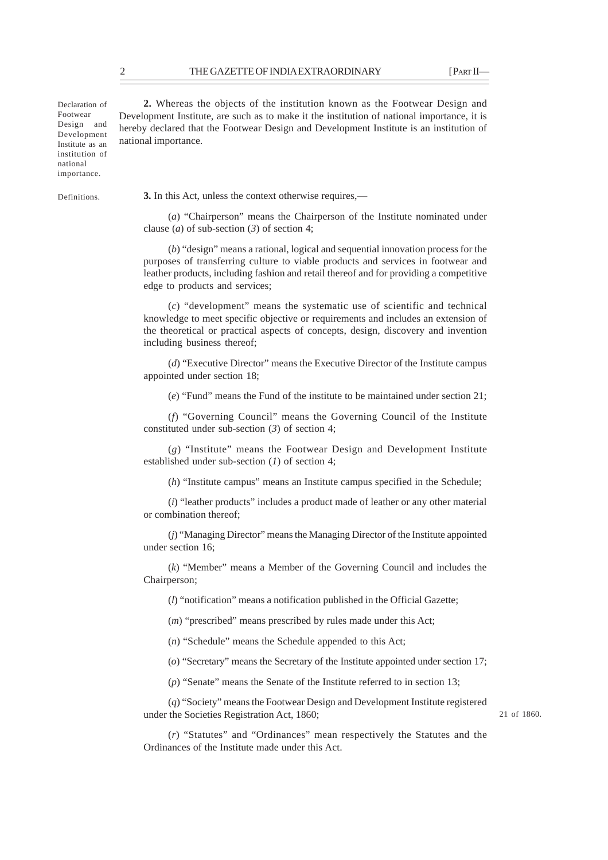Declaration of Footwear Design and Development Institute as an institution of national importance.

Definitions.

**3.** In this Act, unless the context otherwise requires,—

(*a*) "Chairperson" means the Chairperson of the Institute nominated under clause (*a*) of sub-section (*3*) of section 4;

**2.** Whereas the objects of the institution known as the Footwear Design and Development Institute, are such as to make it the institution of national importance, it is hereby declared that the Footwear Design and Development Institute is an institution of

(*b*) "design" means a rational, logical and sequential innovation process for the purposes of transferring culture to viable products and services in footwear and leather products, including fashion and retail thereof and for providing a competitive edge to products and services;

(*c*) "development" means the systematic use of scientific and technical knowledge to meet specific objective or requirements and includes an extension of the theoretical or practical aspects of concepts, design, discovery and invention including business thereof;

(*d*) "Executive Director" means the Executive Director of the Institute campus appointed under section 18;

(*e*) "Fund" means the Fund of the institute to be maintained under section 21;

(*f*) "Governing Council" means the Governing Council of the Institute constituted under sub-section (*3*) of section 4;

(*g*) "Institute" means the Footwear Design and Development Institute established under sub-section (*1*) of section 4;

(*h*) "Institute campus" means an Institute campus specified in the Schedule;

(*i*) "leather products" includes a product made of leather or any other material or combination thereof;

(*j*) "Managing Director" means the Managing Director of the Institute appointed under section 16;

(*k*) "Member" means a Member of the Governing Council and includes the Chairperson;

(*l*) "notification" means a notification published in the Official Gazette;

(*m*) "prescribed" means prescribed by rules made under this Act;

(*n*) "Schedule" means the Schedule appended to this Act;

(*o*) "Secretary" means the Secretary of the Institute appointed under section 17;

(*p*) "Senate" means the Senate of the Institute referred to in section 13;

(*q*) "Society" means the Footwear Design and Development Institute registered under the Societies Registration Act, 1860;

21 of 1860.

(*r*) "Statutes" and "Ordinances" mean respectively the Statutes and the Ordinances of the Institute made under this Act.

national importance.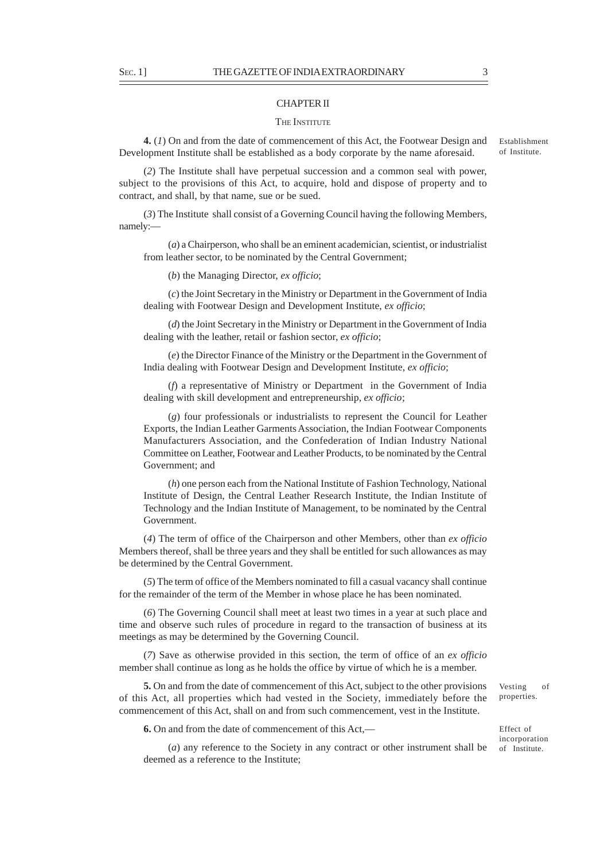### CHAPTER II

#### THE INSTITUTE

**4.** (*1*) On and from the date of commencement of this Act, the Footwear Design and Development Institute shall be established as a body corporate by the name aforesaid. Establishment of Institute.

(*2*) The Institute shall have perpetual succession and a common seal with power, subject to the provisions of this Act, to acquire, hold and dispose of property and to contract, and shall, by that name, sue or be sued.

(*3*) The Institute shall consist of a Governing Council having the following Members, namely:—

(*a*) a Chairperson, who shall be an eminent academician, scientist, or industrialist from leather sector, to be nominated by the Central Government;

(*b*) the Managing Director, *ex officio*;

(*c*) the Joint Secretary in the Ministry or Department in the Government of India dealing with Footwear Design and Development Institute, *ex officio*;

(*d*) the Joint Secretary in the Ministry or Department in the Government of India dealing with the leather, retail or fashion sector, *ex officio*;

(*e*) the Director Finance of the Ministry or the Department in the Government of India dealing with Footwear Design and Development Institute, *ex officio*;

(*f*) a representative of Ministry or Department in the Government of India dealing with skill development and entrepreneurship, *ex officio*;

(*g*) four professionals or industrialists to represent the Council for Leather Exports, the Indian Leather Garments Association, the Indian Footwear Components Manufacturers Association, and the Confederation of Indian Industry National Committee on Leather, Footwear and Leather Products, to be nominated by the Central Government; and

(*h*) one person each from the National Institute of Fashion Technology, National Institute of Design, the Central Leather Research Institute, the Indian Institute of Technology and the Indian Institute of Management, to be nominated by the Central Government.

(*4*) The term of office of the Chairperson and other Members, other than *ex officio* Members thereof, shall be three years and they shall be entitled for such allowances as may be determined by the Central Government.

(*5*) The term of office of the Members nominated to fill a casual vacancy shall continue for the remainder of the term of the Member in whose place he has been nominated.

(*6*) The Governing Council shall meet at least two times in a year at such place and time and observe such rules of procedure in regard to the transaction of business at its meetings as may be determined by the Governing Council.

(*7*) Save as otherwise provided in this section, the term of office of an *ex officio* member shall continue as long as he holds the office by virtue of which he is a member.

**5.** On and from the date of commencement of this Act, subject to the other provisions of this Act, all properties which had vested in the Society, immediately before the commencement of this Act, shall on and from such commencement, vest in the Institute.

**6.** On and from the date of commencement of this Act,—

Effect of incorporation of Institute.

Vesting of properties.

(*a*) any reference to the Society in any contract or other instrument shall be deemed as a reference to the Institute;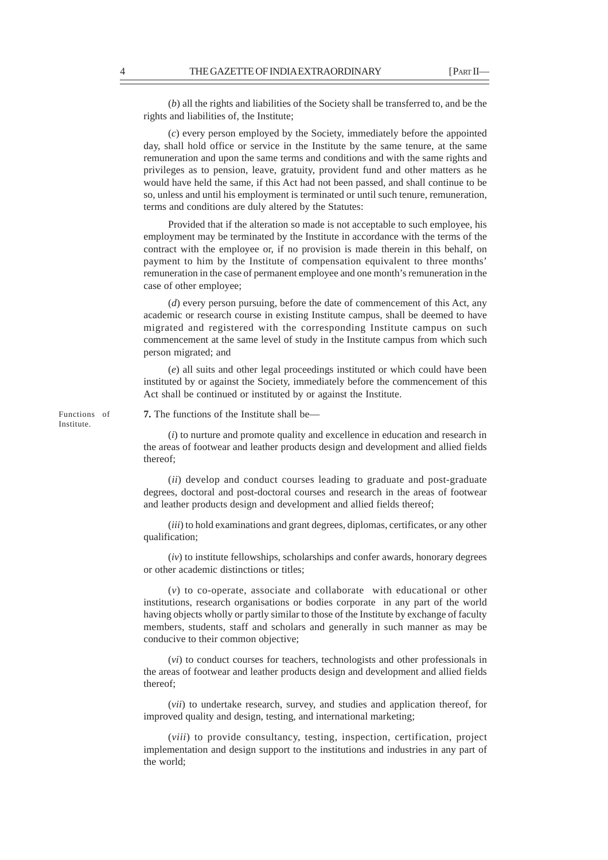(*b*) all the rights and liabilities of the Society shall be transferred to, and be the rights and liabilities of, the Institute;

(*c*) every person employed by the Society, immediately before the appointed day, shall hold office or service in the Institute by the same tenure, at the same remuneration and upon the same terms and conditions and with the same rights and privileges as to pension, leave, gratuity, provident fund and other matters as he would have held the same, if this Act had not been passed, and shall continue to be so, unless and until his employment is terminated or until such tenure, remuneration, terms and conditions are duly altered by the Statutes:

Provided that if the alteration so made is not acceptable to such employee, his employment may be terminated by the Institute in accordance with the terms of the contract with the employee or, if no provision is made therein in this behalf, on payment to him by the Institute of compensation equivalent to three months' remuneration in the case of permanent employee and one month's remuneration in the case of other employee;

(*d*) every person pursuing, before the date of commencement of this Act, any academic or research course in existing Institute campus, shall be deemed to have migrated and registered with the corresponding Institute campus on such commencement at the same level of study in the Institute campus from which such person migrated; and

(*e*) all suits and other legal proceedings instituted or which could have been instituted by or against the Society, immediately before the commencement of this Act shall be continued or instituted by or against the Institute.

Functions of Institute.

**7.** The functions of the Institute shall be—

(*i*) to nurture and promote quality and excellence in education and research in the areas of footwear and leather products design and development and allied fields thereof;

(*ii*) develop and conduct courses leading to graduate and post-graduate degrees, doctoral and post-doctoral courses and research in the areas of footwear and leather products design and development and allied fields thereof;

(*iii*) to hold examinations and grant degrees, diplomas, certificates, or any other qualification;

(*iv*) to institute fellowships, scholarships and confer awards, honorary degrees or other academic distinctions or titles;

(*v*) to co-operate, associate and collaborate with educational or other institutions, research organisations or bodies corporate in any part of the world having objects wholly or partly similar to those of the Institute by exchange of faculty members, students, staff and scholars and generally in such manner as may be conducive to their common objective;

(*vi*) to conduct courses for teachers, technologists and other professionals in the areas of footwear and leather products design and development and allied fields thereof;

(*vii*) to undertake research, survey, and studies and application thereof, for improved quality and design, testing, and international marketing;

(*viii*) to provide consultancy, testing, inspection, certification, project implementation and design support to the institutions and industries in any part of the world;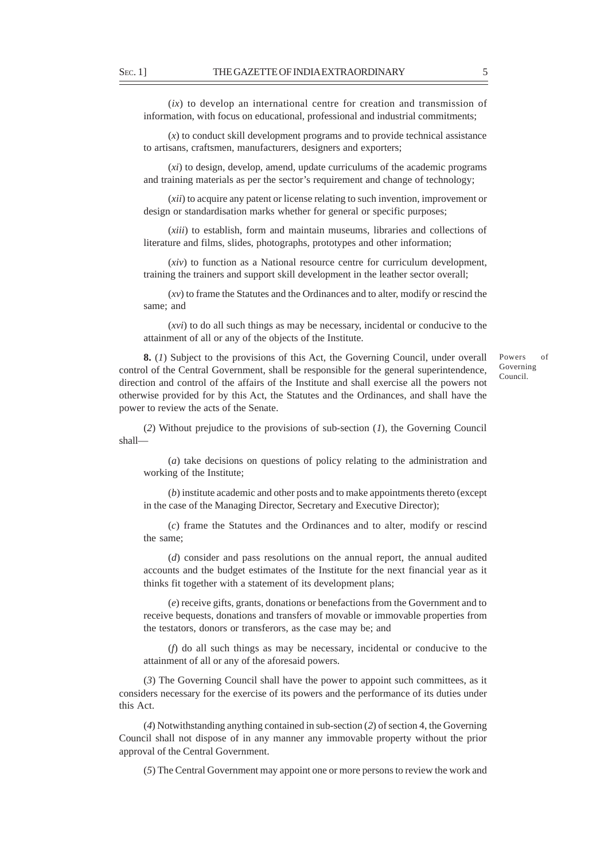(*ix*) to develop an international centre for creation and transmission of information, with focus on educational, professional and industrial commitments;

(*x*) to conduct skill development programs and to provide technical assistance to artisans, craftsmen, manufacturers, designers and exporters;

(*xi*) to design, develop, amend, update curriculums of the academic programs and training materials as per the sector's requirement and change of technology;

(*xii*) to acquire any patent or license relating to such invention, improvement or design or standardisation marks whether for general or specific purposes;

(*xiii*) to establish, form and maintain museums, libraries and collections of literature and films, slides, photographs, prototypes and other information;

(*xiv*) to function as a National resource centre for curriculum development, training the trainers and support skill development in the leather sector overall;

(*xv*) to frame the Statutes and the Ordinances and to alter, modify or rescind the same; and

(*xvi*) to do all such things as may be necessary, incidental or conducive to the attainment of all or any of the objects of the Institute.

**8.** (*1*) Subject to the provisions of this Act, the Governing Council, under overall control of the Central Government, shall be responsible for the general superintendence, direction and control of the affairs of the Institute and shall exercise all the powers not otherwise provided for by this Act, the Statutes and the Ordinances, and shall have the power to review the acts of the Senate.

Powers of Governing Council.

(*2*) Without prejudice to the provisions of sub-section (*1*), the Governing Council shall—

(*a*) take decisions on questions of policy relating to the administration and working of the Institute;

(*b*) institute academic and other posts and to make appointments thereto (except in the case of the Managing Director, Secretary and Executive Director);

(*c*) frame the Statutes and the Ordinances and to alter, modify or rescind the same;

(*d*) consider and pass resolutions on the annual report, the annual audited accounts and the budget estimates of the Institute for the next financial year as it thinks fit together with a statement of its development plans;

(*e*) receive gifts, grants, donations or benefactions from the Government and to receive bequests, donations and transfers of movable or immovable properties from the testators, donors or transferors, as the case may be; and

(*f*) do all such things as may be necessary, incidental or conducive to the attainment of all or any of the aforesaid powers.

(*3*) The Governing Council shall have the power to appoint such committees, as it considers necessary for the exercise of its powers and the performance of its duties under this Act.

(*4*) Notwithstanding anything contained in sub-section (*2*) of section 4, the Governing Council shall not dispose of in any manner any immovable property without the prior approval of the Central Government.

(*5*) The Central Government may appoint one or more persons to review the work and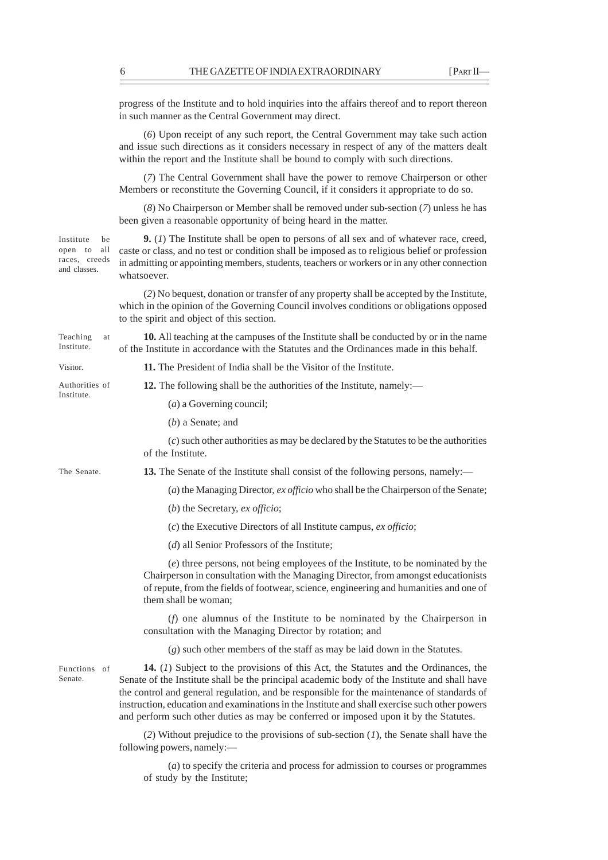progress of the Institute and to hold inquiries into the affairs thereof and to report thereon in such manner as the Central Government may direct.

(*6*) Upon receipt of any such report, the Central Government may take such action and issue such directions as it considers necessary in respect of any of the matters dealt within the report and the Institute shall be bound to comply with such directions.

(*7*) The Central Government shall have the power to remove Chairperson or other Members or reconstitute the Governing Council, if it considers it appropriate to do so.

(*8*) No Chairperson or Member shall be removed under sub-section (*7*) unless he has been given a reasonable opportunity of being heard in the matter.

**9.** (*1*) The Institute shall be open to persons of all sex and of whatever race, creed, caste or class, and no test or condition shall be imposed as to religious belief or profession in admitting or appointing members, students, teachers or workers or in any other connection whatsoever. Institute be open to all races, creeds and classes.

> (*2*) No bequest, donation or transfer of any property shall be accepted by the Institute, which in the opinion of the Governing Council involves conditions or obligations opposed to the spirit and object of this section.

Teaching at Institute.

Authorities of Institute.

Visitor.

**10.** All teaching at the campuses of the Institute shall be conducted by or in the name of the Institute in accordance with the Statutes and the Ordinances made in this behalf.

**11.** The President of India shall be the Visitor of the Institute.

12. The following shall be the authorities of the Institute, namely:—

(*a*) a Governing council;

(*b*) a Senate; and

(*c*) such other authorities as may be declared by the Statutes to be the authorities of the Institute.

The Senate.

**13.** The Senate of the Institute shall consist of the following persons, namely:—

- (*a*) the Managing Director, *ex officio* who shall be the Chairperson of the Senate;
- (*b*) the Secretary, *ex officio*;
- (*c*) the Executive Directors of all Institute campus, *ex officio*;
- (*d*) all Senior Professors of the Institute;

(*e*) three persons, not being employees of the Institute, to be nominated by the Chairperson in consultation with the Managing Director, from amongst educationists of repute, from the fields of footwear, science, engineering and humanities and one of them shall be woman;

(*f*) one alumnus of the Institute to be nominated by the Chairperson in consultation with the Managing Director by rotation; and

(*g*) such other members of the staff as may be laid down in the Statutes.

Functions of Senate.

**14.** (*1*) Subject to the provisions of this Act, the Statutes and the Ordinances, the Senate of the Institute shall be the principal academic body of the Institute and shall have the control and general regulation, and be responsible for the maintenance of standards of instruction, education and examinations in the Institute and shall exercise such other powers and perform such other duties as may be conferred or imposed upon it by the Statutes.

(*2*) Without prejudice to the provisions of sub-section (*1*), the Senate shall have the following powers, namely:—

(*a*) to specify the criteria and process for admission to courses or programmes of study by the Institute;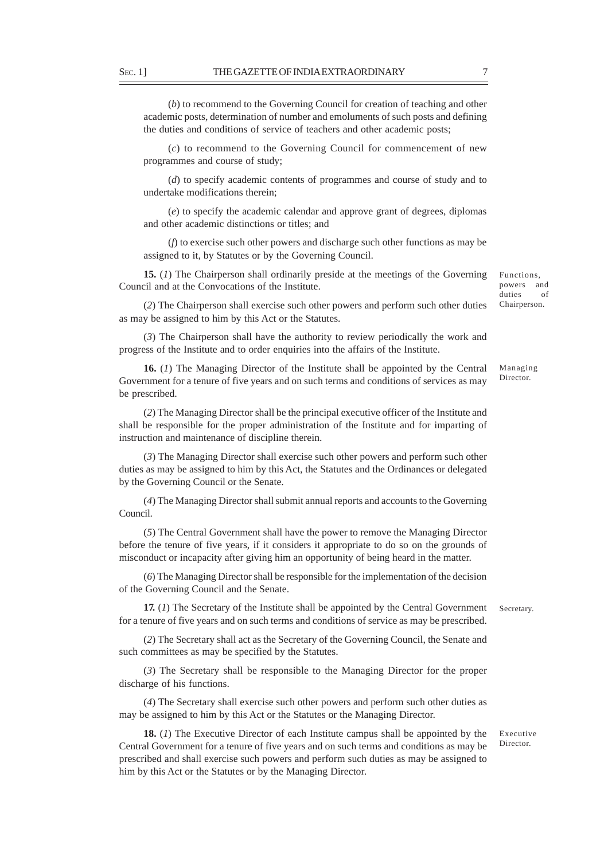(*b*) to recommend to the Governing Council for creation of teaching and other academic posts, determination of number and emoluments of such posts and defining the duties and conditions of service of teachers and other academic posts;

(*c*) to recommend to the Governing Council for commencement of new programmes and course of study;

(*d*) to specify academic contents of programmes and course of study and to undertake modifications therein;

(*e*) to specify the academic calendar and approve grant of degrees, diplomas and other academic distinctions or titles; and

(*f*) to exercise such other powers and discharge such other functions as may be assigned to it, by Statutes or by the Governing Council.

**15.** (*1*) The Chairperson shall ordinarily preside at the meetings of the Governing Council and at the Convocations of the Institute.

Functions, powers and duties of Chairperson.

(*2*) The Chairperson shall exercise such other powers and perform such other duties as may be assigned to him by this Act or the Statutes.

(*3*) The Chairperson shall have the authority to review periodically the work and progress of the Institute and to order enquiries into the affairs of the Institute.

**16.** (*1*) The Managing Director of the Institute shall be appointed by the Central Government for a tenure of five years and on such terms and conditions of services as may be prescribed.

(*2*) The Managing Director shall be the principal executive officer of the Institute and shall be responsible for the proper administration of the Institute and for imparting of instruction and maintenance of discipline therein.

(*3*) The Managing Director shall exercise such other powers and perform such other duties as may be assigned to him by this Act, the Statutes and the Ordinances or delegated by the Governing Council or the Senate.

(*4*) The Managing Director shall submit annual reports and accounts to the Governing Council.

(*5*) The Central Government shall have the power to remove the Managing Director before the tenure of five years, if it considers it appropriate to do so on the grounds of misconduct or incapacity after giving him an opportunity of being heard in the matter.

(*6*) The Managing Director shall be responsible for the implementation of the decision of the Governing Council and the Senate.

**17.** (*1*) The Secretary of the Institute shall be appointed by the Central Government for a tenure of five years and on such terms and conditions of service as may be prescribed. Secretary.

(*2*) The Secretary shall act as the Secretary of the Governing Council, the Senate and such committees as may be specified by the Statutes.

(*3*) The Secretary shall be responsible to the Managing Director for the proper discharge of his functions.

(*4*) The Secretary shall exercise such other powers and perform such other duties as may be assigned to him by this Act or the Statutes or the Managing Director.

**18.** (*1*) The Executive Director of each Institute campus shall be appointed by the Central Government for a tenure of five years and on such terms and conditions as may be prescribed and shall exercise such powers and perform such duties as may be assigned to him by this Act or the Statutes or by the Managing Director.

Executive Director.

Managing Director.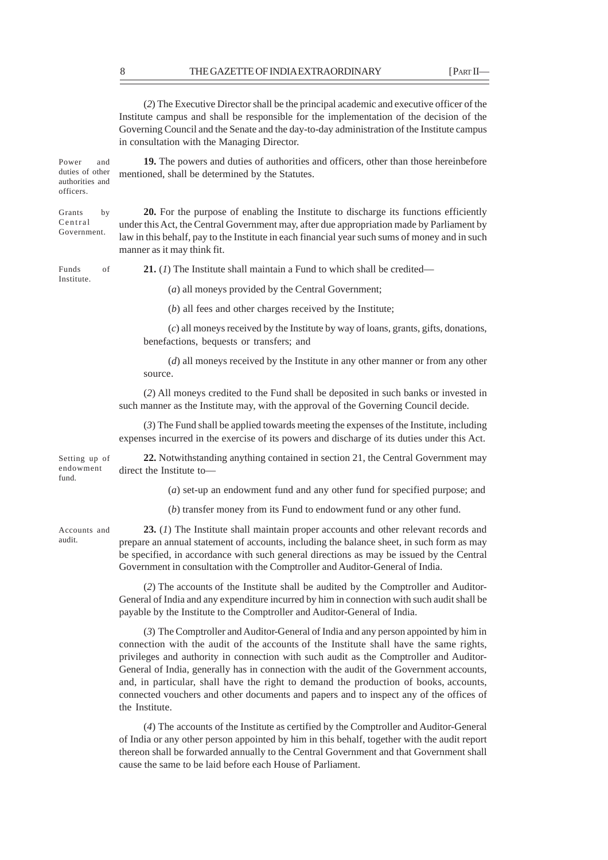(*2*) The Executive Director shall be the principal academic and executive officer of the Institute campus and shall be responsible for the implementation of the decision of the Governing Council and the Senate and the day-to-day administration of the Institute campus in consultation with the Managing Director.

**19.** The powers and duties of authorities and officers, other than those hereinbefore mentioned, shall be determined by the Statutes. Power and duties of other authorities and

**20.** For the purpose of enabling the Institute to discharge its functions efficiently under this Act, the Central Government may, after due appropriation made by Parliament by law in this behalf, pay to the Institute in each financial year such sums of money and in such manner as it may think fit. Grants by Government.

Funds of Institute.

officers.

Central

**21.** (*1*) The Institute shall maintain a Fund to which shall be credited—

(*a*) all moneys provided by the Central Government;

(*b*) all fees and other charges received by the Institute;

(*c*) all moneys received by the Institute by way of loans, grants, gifts, donations, benefactions, bequests or transfers; and

(*d*) all moneys received by the Institute in any other manner or from any other source.

(*2*) All moneys credited to the Fund shall be deposited in such banks or invested in such manner as the Institute may, with the approval of the Governing Council decide.

(*3*) The Fund shall be applied towards meeting the expenses of the Institute, including expenses incurred in the exercise of its powers and discharge of its duties under this Act.

Setting up of endowment fund.

**22.** Notwithstanding anything contained in section 21, the Central Government may direct the Institute to—

(*a*) set-up an endowment fund and any other fund for specified purpose; and

(*b*) transfer money from its Fund to endowment fund or any other fund.

Accounts and audit.

**23.** (*1*) The Institute shall maintain proper accounts and other relevant records and prepare an annual statement of accounts, including the balance sheet, in such form as may be specified, in accordance with such general directions as may be issued by the Central Government in consultation with the Comptroller and Auditor-General of India.

(*2*) The accounts of the Institute shall be audited by the Comptroller and Auditor-General of India and any expenditure incurred by him in connection with such audit shall be payable by the Institute to the Comptroller and Auditor-General of India.

(*3*) The Comptroller and Auditor-General of India and any person appointed by him in connection with the audit of the accounts of the Institute shall have the same rights, privileges and authority in connection with such audit as the Comptroller and Auditor-General of India, generally has in connection with the audit of the Government accounts, and, in particular, shall have the right to demand the production of books, accounts, connected vouchers and other documents and papers and to inspect any of the offices of the Institute.

(*4*) The accounts of the Institute as certified by the Comptroller and Auditor-General of India or any other person appointed by him in this behalf, together with the audit report thereon shall be forwarded annually to the Central Government and that Government shall cause the same to be laid before each House of Parliament.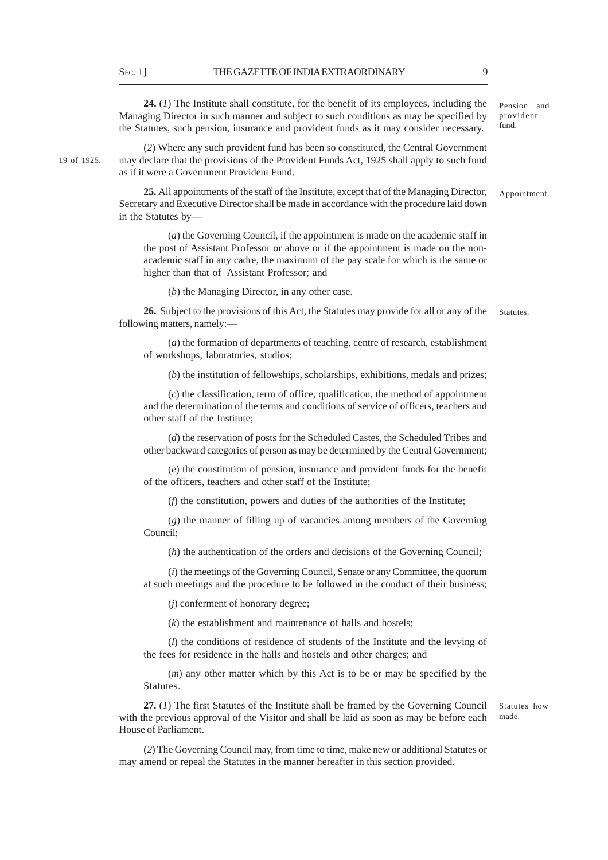**24.** (*1*) The Institute shall constitute, for the benefit of its employees, including the Managing Director in such manner and subject to such conditions as may be specified by the Statutes, such pension, insurance and provident funds as it may consider necessary.

19 of 1925.

(*2*) Where any such provident fund has been so constituted, the Central Government may declare that the provisions of the Provident Funds Act, 1925 shall apply to such fund as if it were a Government Provident Fund.

**25.** All appointments of the staff of the Institute, except that of the Managing Director, Secretary and Executive Director shall be made in accordance with the procedure laid down in the Statutes by— Appointment.

(*a*) the Governing Council, if the appointment is made on the academic staff in the post of Assistant Professor or above or if the appointment is made on the nonacademic staff in any cadre, the maximum of the pay scale for which is the same or higher than that of Assistant Professor; and

(*b*) the Managing Director, in any other case.

**26.** Subject to the provisions of this Act, the Statutes may provide for all or any of the following matters, namely:— Statutes.

(*a*) the formation of departments of teaching, centre of research, establishment of workshops, laboratories, studios;

(*b*) the institution of fellowships, scholarships, exhibitions, medals and prizes;

(*c*) the classification, term of office, qualification, the method of appointment and the determination of the terms and conditions of service of officers, teachers and other staff of the Institute;

(*d*) the reservation of posts for the Scheduled Castes, the Scheduled Tribes and other backward categories of person as may be determined by the Central Government;

(*e*) the constitution of pension, insurance and provident funds for the benefit of the officers, teachers and other staff of the Institute;

(*f*) the constitution, powers and duties of the authorities of the Institute;

(*g*) the manner of filling up of vacancies among members of the Governing Council;

(*h*) the authentication of the orders and decisions of the Governing Council;

(*i*) the meetings of the Governing Council, Senate or any Committee, the quorum at such meetings and the procedure to be followed in the conduct of their business;

(*j*) conferment of honorary degree;

(*k*) the establishment and maintenance of halls and hostels;

(*l*) the conditions of residence of students of the Institute and the levying of the fees for residence in the halls and hostels and other charges; and

(*m*) any other matter which by this Act is to be or may be specified by the Statutes.

**27.** (*1*) The first Statutes of the Institute shall be framed by the Governing Council with the previous approval of the Visitor and shall be laid as soon as may be before each House of Parliament.

(*2*) The Governing Council may, from time to time, make new or additional Statutes or may amend or repeal the Statutes in the manner hereafter in this section provided.

Pension and provident fund.

Statutes how made.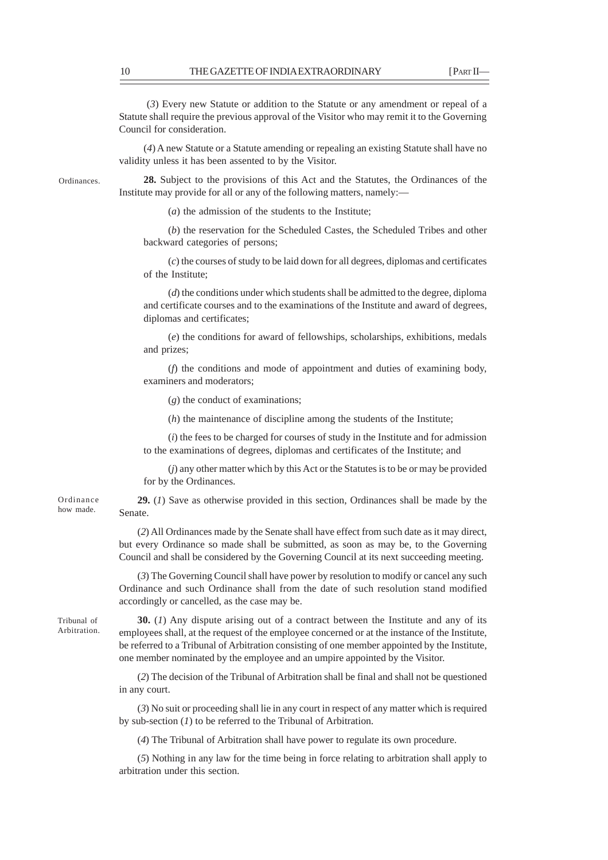(*3*) Every new Statute or addition to the Statute or any amendment or repeal of a Statute shall require the previous approval of the Visitor who may remit it to the Governing Council for consideration.

(*4*) A new Statute or a Statute amending or repealing an existing Statute shall have no validity unless it has been assented to by the Visitor.

Ordinances.

**28.** Subject to the provisions of this Act and the Statutes, the Ordinances of the Institute may provide for all or any of the following matters, namely:—

(*a*) the admission of the students to the Institute;

(*b*) the reservation for the Scheduled Castes, the Scheduled Tribes and other backward categories of persons;

(*c*) the courses of study to be laid down for all degrees, diplomas and certificates of the Institute;

(*d*) the conditions under which students shall be admitted to the degree, diploma and certificate courses and to the examinations of the Institute and award of degrees, diplomas and certificates;

(*e*) the conditions for award of fellowships, scholarships, exhibitions, medals and prizes;

(*f*) the conditions and mode of appointment and duties of examining body, examiners and moderators;

(*g*) the conduct of examinations;

(*h*) the maintenance of discipline among the students of the Institute;

(*i*) the fees to be charged for courses of study in the Institute and for admission to the examinations of degrees, diplomas and certificates of the Institute; and

(*j*) any other matter which by this Act or the Statutes is to be or may be provided for by the Ordinances.

**29.** (*1*) Save as otherwise provided in this section, Ordinances shall be made by the Senate.

(*2*) All Ordinances made by the Senate shall have effect from such date as it may direct, but every Ordinance so made shall be submitted, as soon as may be, to the Governing Council and shall be considered by the Governing Council at its next succeeding meeting.

(*3*) The Governing Council shall have power by resolution to modify or cancel any such Ordinance and such Ordinance shall from the date of such resolution stand modified accordingly or cancelled, as the case may be.

Tribunal of Arbitration.

Ordinance how made.

> **30.** (*1*) Any dispute arising out of a contract between the Institute and any of its employees shall, at the request of the employee concerned or at the instance of the Institute, be referred to a Tribunal of Arbitration consisting of one member appointed by the Institute, one member nominated by the employee and an umpire appointed by the Visitor.

> (*2*) The decision of the Tribunal of Arbitration shall be final and shall not be questioned in any court.

> (*3*) No suit or proceeding shall lie in any court in respect of any matter which is required by sub-section (*1*) to be referred to the Tribunal of Arbitration.

(*4*) The Tribunal of Arbitration shall have power to regulate its own procedure.

(*5*) Nothing in any law for the time being in force relating to arbitration shall apply to arbitration under this section.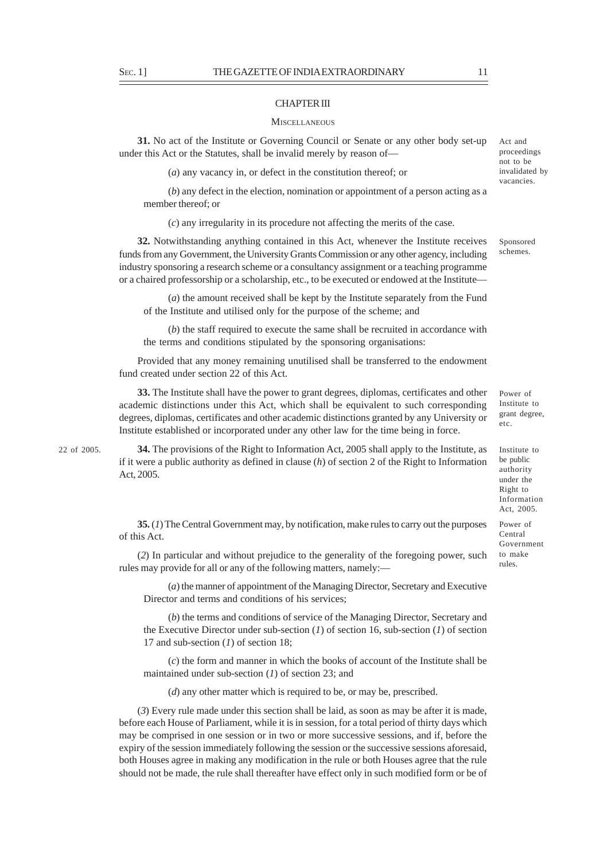### CHAPTER III

#### **MISCELLANEOUS**

**31.** No act of the Institute or Governing Council or Senate or any other body set-up under this Act or the Statutes, shall be invalid merely by reason of—

(*a*) any vacancy in, or defect in the constitution thereof; or

(*b*) any defect in the election, nomination or appointment of a person acting as a member thereof; or

(*c*) any irregularity in its procedure not affecting the merits of the case.

**32.** Notwithstanding anything contained in this Act, whenever the Institute receives funds from any Government, the University Grants Commission or any other agency, including industry sponsoring a research scheme or a consultancy assignment or a teaching programme or a chaired professorship or a scholarship, etc., to be executed or endowed at the Institute—

(*a*) the amount received shall be kept by the Institute separately from the Fund of the Institute and utilised only for the purpose of the scheme; and

(*b*) the staff required to execute the same shall be recruited in accordance with the terms and conditions stipulated by the sponsoring organisations:

Provided that any money remaining unutilised shall be transferred to the endowment fund created under section 22 of this Act.

**33.** The Institute shall have the power to grant degrees, diplomas, certificates and other academic distinctions under this Act, which shall be equivalent to such corresponding degrees, diplomas, certificates and other academic distinctions granted by any University or Institute established or incorporated under any other law for the time being in force.

22 of 2005.

**34.** The provisions of the Right to Information Act, 2005 shall apply to the Institute, as if it were a public authority as defined in clause (*h*) of section 2 of the Right to Information Act, 2005.

**35.** (*1*) The Central Government may, by notification, make rules to carry out the purposes of this Act.

(*2*) In particular and without prejudice to the generality of the foregoing power, such rules may provide for all or any of the following matters, namely:—

(*a*) the manner of appointment of the Managing Director, Secretary and Executive Director and terms and conditions of his services;

(*b*) the terms and conditions of service of the Managing Director, Secretary and the Executive Director under sub-section (*1*) of section 16, sub-section (*1*) of section 17 and sub-section (*1*) of section 18;

(*c*) the form and manner in which the books of account of the Institute shall be maintained under sub-section (*1*) of section 23; and

(*d*) any other matter which is required to be, or may be, prescribed.

(*3*) Every rule made under this section shall be laid, as soon as may be after it is made, before each House of Parliament, while it is in session, for a total period of thirty days which may be comprised in one session or in two or more successive sessions, and if, before the expiry of the session immediately following the session or the successive sessions aforesaid, both Houses agree in making any modification in the rule or both Houses agree that the rule should not be made, the rule shall thereafter have effect only in such modified form or be of

Sponsored schemes.

Power of Institute to grant degree, etc.

Institute to be public authority under the Right to Information Act, 2005.

Power of Central Government to make rules.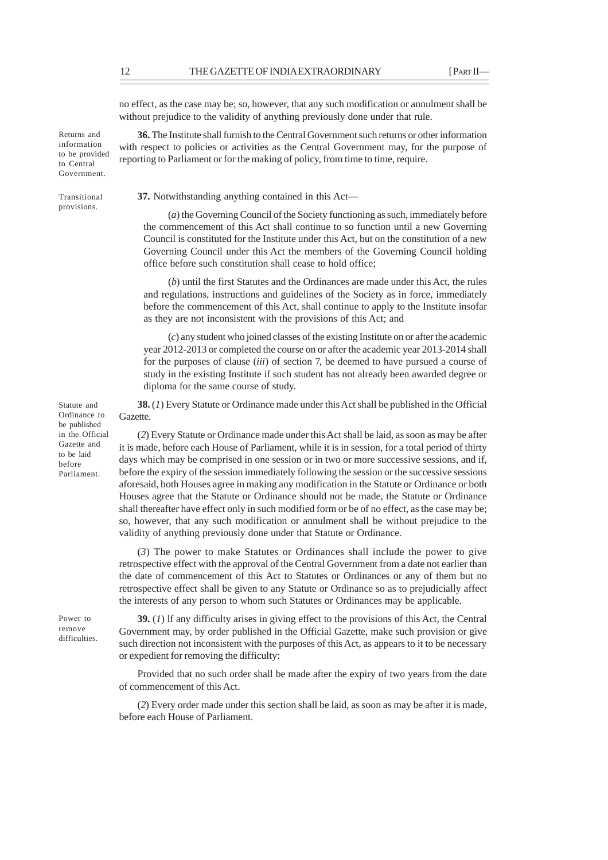no effect, as the case may be; so, however, that any such modification or annulment shall be without prejudice to the validity of anything previously done under that rule.

**36.** The Institute shall furnish to the Central Government such returns or other information with respect to policies or activities as the Central Government may, for the purpose of reporting to Parliament or for the making of policy, from time to time, require.

**37.** Notwithstanding anything contained in this Act—

(*a*) the Governing Council of the Society functioning as such, immediately before the commencement of this Act shall continue to so function until a new Governing Council is constituted for the Institute under this Act, but on the constitution of a new Governing Council under this Act the members of the Governing Council holding office before such constitution shall cease to hold office;

(*b*) until the first Statutes and the Ordinances are made under this Act, the rules and regulations, instructions and guidelines of the Society as in force, immediately before the commencement of this Act, shall continue to apply to the Institute insofar as they are not inconsistent with the provisions of this Act; and

(*c*) any student who joined classes of the existing Institute on or after the academic year 2012-2013 or completed the course on or after the academic year 2013-2014 shall for the purposes of clause (*iii*) of section 7, be deemed to have pursued a course of study in the existing Institute if such student has not already been awarded degree or diploma for the same course of study.

**38.** (*1*) Every Statute or Ordinance made under this Act shall be published in the Official Gazette.

(*2*) Every Statute or Ordinance made under this Act shall be laid, as soon as may be after it is made, before each House of Parliament, while it is in session, for a total period of thirty days which may be comprised in one session or in two or more successive sessions, and if, before the expiry of the session immediately following the session or the successive sessions aforesaid, both Houses agree in making any modification in the Statute or Ordinance or both Houses agree that the Statute or Ordinance should not be made, the Statute or Ordinance shall thereafter have effect only in such modified form or be of no effect, as the case may be; so, however, that any such modification or annulment shall be without prejudice to the validity of anything previously done under that Statute or Ordinance.

(*3*) The power to make Statutes or Ordinances shall include the power to give retrospective effect with the approval of the Central Government from a date not earlier than the date of commencement of this Act to Statutes or Ordinances or any of them but no retrospective effect shall be given to any Statute or Ordinance so as to prejudicially affect the interests of any person to whom such Statutes or Ordinances may be applicable.

Power to remove difficulties.

**39.** (*1*) lf any difficulty arises in giving effect to the provisions of this Act, the Central Government may, by order published in the Official Gazette, make such provision or give such direction not inconsistent with the purposes of this Act, as appears to it to be necessary or expedient for removing the difficulty:

Provided that no such order shall be made after the expiry of two years from the date of commencement of this Act.

(*2*) Every order made under this section shall be laid, as soon as may be after it is made, before each House of Parliament.

Returns and information to be provided to Central Government.

Transitional provisions.

Statute and Ordinance to be published in the Official Gazette and to be laid before Parliament.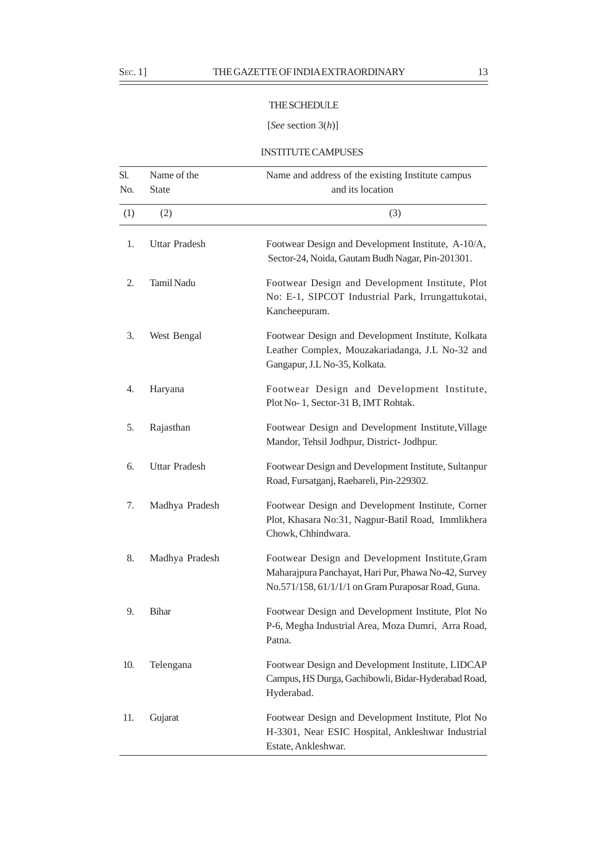# THE SCHEDULE

# [*See* section 3(*h*)]

### INSTITUTE CAMPUSES

| Sl.<br>Name of the |                      | Name and address of the existing Institute campus                                                                                                             |  |
|--------------------|----------------------|---------------------------------------------------------------------------------------------------------------------------------------------------------------|--|
| No.                | <b>State</b>         | and its location                                                                                                                                              |  |
| (1)                | (2)                  | (3)                                                                                                                                                           |  |
| 1.                 | <b>Uttar Pradesh</b> | Footwear Design and Development Institute, A-10/A,<br>Sector-24, Noida, Gautam Budh Nagar, Pin-201301.                                                        |  |
| 2.                 | Tamil Nadu           | Footwear Design and Development Institute, Plot<br>No: E-1, SIPCOT Industrial Park, Irrungattukotai,<br>Kancheepuram.                                         |  |
| 3.                 | West Bengal          | Footwear Design and Development Institute, Kolkata<br>Leather Complex, Mouzakariadanga, J.L No-32 and<br>Gangapur, J.L No-35, Kolkata.                        |  |
| 4.                 | Haryana              | Footwear Design and Development Institute,<br>Plot No-1, Sector-31 B, IMT Rohtak.                                                                             |  |
| 5.                 | Rajasthan            | Footwear Design and Development Institute, Village<br>Mandor, Tehsil Jodhpur, District- Jodhpur.                                                              |  |
| 6.                 | <b>Uttar Pradesh</b> | Footwear Design and Development Institute, Sultanpur<br>Road, Fursatganj, Raebareli, Pin-229302.                                                              |  |
| 7.                 | Madhya Pradesh       | Footwear Design and Development Institute, Corner<br>Plot, Khasara No:31, Nagpur-Batil Road, Immlikhera<br>Chowk, Chhindwara.                                 |  |
| 8.                 | Madhya Pradesh       | Footwear Design and Development Institute, Gram<br>Maharajpura Panchayat, Hari Pur, Phawa No-42, Survey<br>No.571/158, 61/1/1/1 on Gram Puraposar Road, Guna. |  |
| 9.                 | <b>Bihar</b>         | Footwear Design and Development Institute, Plot No<br>P-6, Megha Industrial Area, Moza Dumri, Arra Road,<br>Patna.                                            |  |
| 10.                | Telengana            | Footwear Design and Development Institute, LIDCAP<br>Campus, HS Durga, Gachibowli, Bidar-Hyderabad Road,<br>Hyderabad.                                        |  |
| 11.                | Gujarat              | Footwear Design and Development Institute, Plot No<br>H-3301, Near ESIC Hospital, Ankleshwar Industrial<br>Estate, Ankleshwar.                                |  |